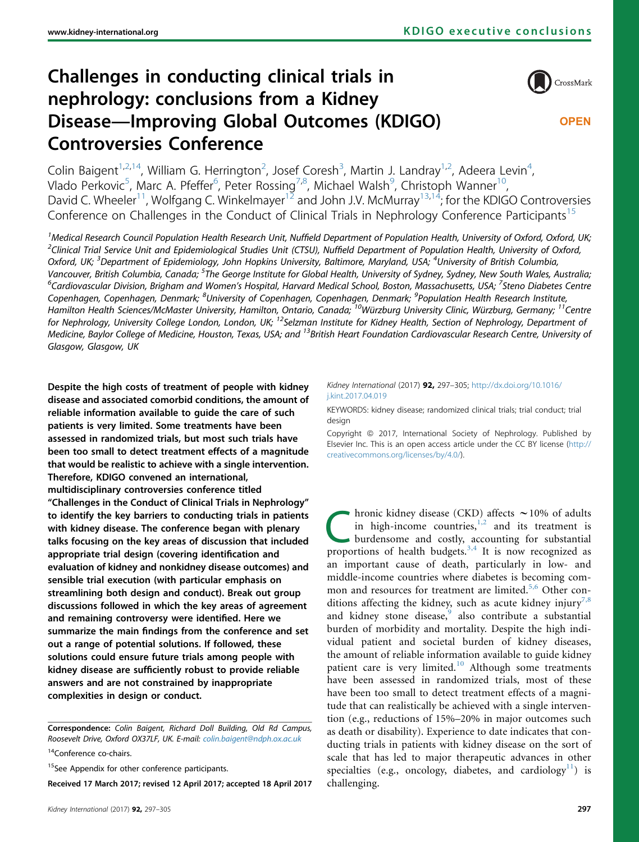# Challenges in conducting clinical trials in nephrology: conclusions from a Kidney Disease—Improving Global Outcomes (KDIGO) Controversies Conference



**OPEN** 

Colin Baigent<sup>1,2,14</sup>, William G. Herrington<sup>2</sup>, Josef Coresh<sup>3</sup>, Martin J. Landray<sup>1,2</sup>, Adeera Levin<sup>4</sup> , Vlado Perkovic<sup>5</sup>, Marc A. Pfeffer<sup>6</sup>, Peter Rossing<sup>7,8</sup>, Michael Walsh<sup>9</sup>, Christoph Wanner<sup>10</sup>, David C. Wheeler<sup>11</sup>, Wolfgang C. Winkelmayer<sup>12</sup> and John J.V. McMurray<sup>13,14</sup>; for the KDIGO Controversies Conference on Challenges in the Conduct of Clinical Trials in Nephrology Conference Participants<sup>15</sup>

<sup>1</sup>Medical Research Council Population Health Research Unit, Nuffield Department of Population Health, University of Oxford, UK;<br><sup>2</sup>Clinical Trial Senice Unit and Enidemiological Studies Unit (CTSU), Nuffield Department of  $^2$ Clinical Trial Service Unit and Epidemiological Studies Unit (CTSU), Nuffield Department of Population Health, University of Oxford, Oxford, UK; <sup>3</sup>Department of Epidemiology, John Hopkins University, Baltimore, Maryland, USA; <sup>4</sup>University of British Columbia, Vancouver, British Columbia, Canada; <sup>5</sup>The George Institute for Global Health, University of Sydney, Sydney, New South Wales, Australia;<br><sup>6</sup>Cardiovascular Division, Brigham and Women's Hospital, Hanyard Medical School, Bo Cardiovascular Division, Brigham and Women's Hospital, Harvard Medical School, Boston, Massachusetts, USA; <sup>7</sup>Steno Diabetes Centre Copenhagen, Copenhagen, Denmark; <sup>8</sup>University of Copenhagen, Copenhagen, Denmark; <sup>9</sup>Population Health Research Institute, Hamilton Health Sciences/McMaster University, Hamilton, Ontario, Canada; <sup>10</sup>Würzburg University Clinic, Würzburg, Germany; <sup>11</sup>Centre for Nephrology, University College London, London, UK; <sup>12</sup>Selzman Institute for Kidney Health, Section of Nephrology, Department of Medicine, Baylor College of Medicine, Houston, Texas, USA; and <sup>13</sup>British Heart Foundation Cardiovascular Research Centre, University of Glasgow, Glasgow, UK

Despite the high costs of treatment of people with kidney disease and associated comorbid conditions, the amount of reliable information available to guide the care of such patients is very limited. Some treatments have been assessed in randomized trials, but most such trials have been too small to detect treatment effects of a magnitude that would be realistic to achieve with a single intervention. Therefore, KDIGO convened an international, multidisciplinary controversies conference titled "Challenges in the Conduct of Clinical Trials in Nephrology" to identify the key barriers to conducting trials in patients with kidney disease. The conference began with plenary talks focusing on the key areas of discussion that included appropriate trial design (covering identification and evaluation of kidney and nonkidney disease outcomes) and sensible trial execution (with particular emphasis on streamlining both design and conduct). Break out group discussions followed in which the key areas of agreement and remaining controversy were identified. Here we summarize the main findings from the conference and set out a range of potential solutions. If followed, these solutions could ensure future trials among people with kidney disease are sufficiently robust to provide reliable answers and are not constrained by inappropriate complexities in design or conduct.

Correspondence: Colin Baigent, Richard Doll Building, Old Rd Campus, Roosevelt Drive, Oxford OX37LF, UK. E-mail: [colin.baigent@ndph.ox.ac.uk](mailto:colin.baigent@ndph.ox.ac.uk) 14Conference co-chairs.

<sup>15</sup>See Appendix for other conference participants.

Received 17 March 2017; revised 12 April 2017; accepted 18 April 2017

#### Kidney International (2017) 92, 297–305; [http://dx.doi.org/10.1016/](http://dx.doi.org/10.1016/j.kint.2017.04.019) [j.kint.2017.04.019](http://dx.doi.org/10.1016/j.kint.2017.04.019)

KEYWORDS: kidney disease; randomized clinical trials; trial conduct; trial design

Copyright @ 2017, International Society of Nephrology. Published by Elsevier Inc. This is an open access article under the CC BY license ([http://](http://creativecommons.org/licenses/by/4.0/) [creativecommons.org/licenses/by/4.0/](http://creativecommons.org/licenses/by/4.0/)).

**Community** hronic kidney disease (CKD) affects  $\sim$  10% of adults in high-income countries,  $\frac{1}{2}$  and its treatment is burdensome and costly, accounting for substantial proportions of health budgets  $\frac{3.4}{1}$  It is in high-income countries,  $1,2$  and its treatment is proportions of health budgets.<sup>[3,4](#page-7-0)</sup> It is now recognized as an important cause of death, particularly in low- and middle-income countries where diabetes is becoming com-mon and resources for treatment are limited.<sup>[5,6](#page-7-0)</sup> Other con-ditions affecting the kidney, such as acute kidney injury<sup>[7,8](#page-7-0)</sup> and kidney stone disease,<sup>[9](#page-7-0)</sup> also contribute a substantial burden of morbidity and mortality. Despite the high individual patient and societal burden of kidney diseases, the amount of reliable information available to guide kidney patient care is very limited.<sup>[10](#page-7-0)</sup> Although some treatments have been assessed in randomized trials, most of these have been too small to detect treatment effects of a magnitude that can realistically be achieved with a single intervention (e.g., reductions of 15%–20% in major outcomes such as death or disability). Experience to date indicates that conducting trials in patients with kidney disease on the sort of scale that has led to major therapeutic advances in other specialties (e.g., oncology, diabetes, and cardiology<sup>11</sup>) is challenging.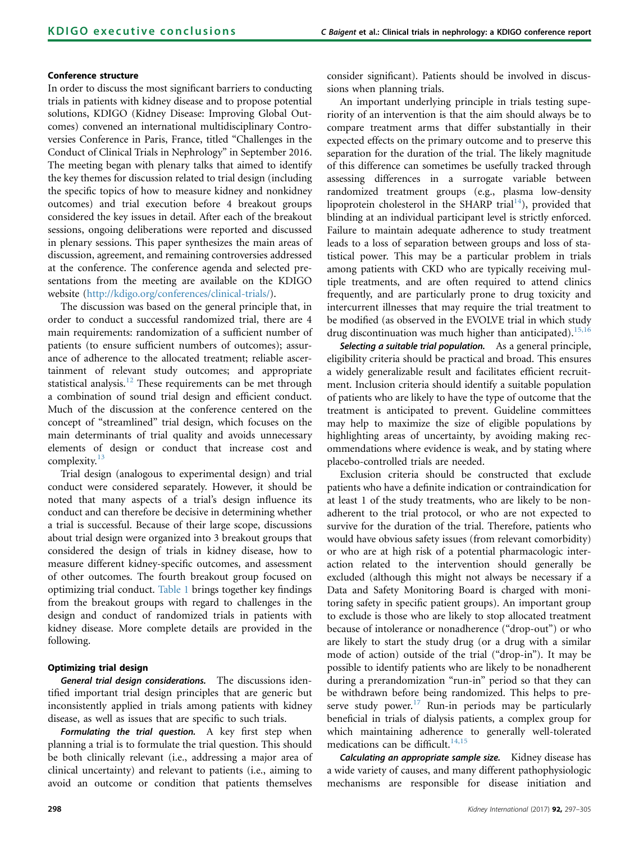# Conference structure

In order to discuss the most significant barriers to conducting trials in patients with kidney disease and to propose potential solutions, KDIGO (Kidney Disease: Improving Global Outcomes) convened an international multidisciplinary Controversies Conference in Paris, France, titled "Challenges in the Conduct of Clinical Trials in Nephrology" in September 2016. The meeting began with plenary talks that aimed to identify the key themes for discussion related to trial design (including the specific topics of how to measure kidney and nonkidney outcomes) and trial execution before 4 breakout groups considered the key issues in detail. After each of the breakout sessions, ongoing deliberations were reported and discussed in plenary sessions. This paper synthesizes the main areas of discussion, agreement, and remaining controversies addressed at the conference. The conference agenda and selected presentations from the meeting are available on the KDIGO website ([http://kdigo.org/conferences/clinical-trials/\)](http://kdigo.org/conferences/clinical-trials/).

The discussion was based on the general principle that, in order to conduct a successful randomized trial, there are 4 main requirements: randomization of a sufficient number of patients (to ensure sufficient numbers of outcomes); assurance of adherence to the allocated treatment; reliable ascertainment of relevant study outcomes; and appropriate statistical analysis.<sup>[12](#page-7-0)</sup> These requirements can be met through a combination of sound trial design and efficient conduct. Much of the discussion at the conference centered on the concept of "streamlined" trial design, which focuses on the main determinants of trial quality and avoids unnecessary elements of design or conduct that increase cost and complexity.<sup>[13](#page-7-0)</sup>

Trial design (analogous to experimental design) and trial conduct were considered separately. However, it should be noted that many aspects of a trial's design influence its conduct and can therefore be decisive in determining whether a trial is successful. Because of their large scope, discussions about trial design were organized into 3 breakout groups that considered the design of trials in kidney disease, how to measure different kidney-specific outcomes, and assessment of other outcomes. The fourth breakout group focused on optimizing trial conduct. [Table 1](#page-2-0) brings together key findings from the breakout groups with regard to challenges in the design and conduct of randomized trials in patients with kidney disease. More complete details are provided in the following.

## Optimizing trial design

General trial design considerations. The discussions identified important trial design principles that are generic but inconsistently applied in trials among patients with kidney disease, as well as issues that are specific to such trials.

Formulating the trial question. A key first step when planning a trial is to formulate the trial question. This should be both clinically relevant (i.e., addressing a major area of clinical uncertainty) and relevant to patients (i.e., aiming to avoid an outcome or condition that patients themselves consider significant). Patients should be involved in discussions when planning trials.

An important underlying principle in trials testing superiority of an intervention is that the aim should always be to compare treatment arms that differ substantially in their expected effects on the primary outcome and to preserve this separation for the duration of the trial. The likely magnitude of this difference can sometimes be usefully tracked through assessing differences in a surrogate variable between randomized treatment groups (e.g., plasma low-density lipoprotein cholesterol in the SHARP trial<sup>14</sup>), provided that blinding at an individual participant level is strictly enforced. Failure to maintain adequate adherence to study treatment leads to a loss of separation between groups and loss of statistical power. This may be a particular problem in trials among patients with CKD who are typically receiving multiple treatments, and are often required to attend clinics frequently, and are particularly prone to drug toxicity and intercurrent illnesses that may require the trial treatment to be modified (as observed in the EVOLVE trial in which study drug discontinuation was much higher than anticipated).<sup>[15,16](#page-7-0)</sup>

Selecting a suitable trial population. As a general principle, eligibility criteria should be practical and broad. This ensures a widely generalizable result and facilitates efficient recruitment. Inclusion criteria should identify a suitable population of patients who are likely to have the type of outcome that the treatment is anticipated to prevent. Guideline committees may help to maximize the size of eligible populations by highlighting areas of uncertainty, by avoiding making recommendations where evidence is weak, and by stating where placebo-controlled trials are needed.

Exclusion criteria should be constructed that exclude patients who have a definite indication or contraindication for at least 1 of the study treatments, who are likely to be nonadherent to the trial protocol, or who are not expected to survive for the duration of the trial. Therefore, patients who would have obvious safety issues (from relevant comorbidity) or who are at high risk of a potential pharmacologic interaction related to the intervention should generally be excluded (although this might not always be necessary if a Data and Safety Monitoring Board is charged with monitoring safety in specific patient groups). An important group to exclude is those who are likely to stop allocated treatment because of intolerance or nonadherence ("drop-out") or who are likely to start the study drug (or a drug with a similar mode of action) outside of the trial ("drop-in"). It may be possible to identify patients who are likely to be nonadherent during a prerandomization "run-in" period so that they can be withdrawn before being randomized. This helps to preserve study power. $17$  Run-in periods may be particularly beneficial in trials of dialysis patients, a complex group for which maintaining adherence to generally well-tolerated medications can be difficult.<sup>[14,15](#page-7-0)</sup>

Calculating an appropriate sample size. Kidney disease has a wide variety of causes, and many different pathophysiologic mechanisms are responsible for disease initiation and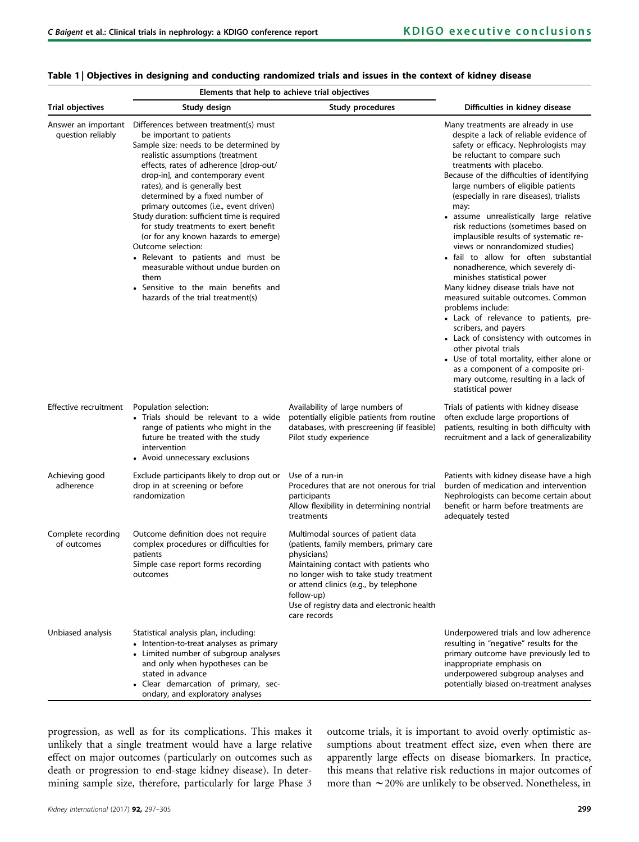| Elements that help to achieve trial objectives |                                                                                                                                                                                                                                                                                                                                                                                                                                                                                                                                                                                                                                                                   |                                                                                                                                                                                                                                                                                                      |                                                                                                                                                                                                                                                                                                                                                                                                                                                                                                                                                                                                                                                                                                                                                                                                                                                                                                                                                                                         |
|------------------------------------------------|-------------------------------------------------------------------------------------------------------------------------------------------------------------------------------------------------------------------------------------------------------------------------------------------------------------------------------------------------------------------------------------------------------------------------------------------------------------------------------------------------------------------------------------------------------------------------------------------------------------------------------------------------------------------|------------------------------------------------------------------------------------------------------------------------------------------------------------------------------------------------------------------------------------------------------------------------------------------------------|-----------------------------------------------------------------------------------------------------------------------------------------------------------------------------------------------------------------------------------------------------------------------------------------------------------------------------------------------------------------------------------------------------------------------------------------------------------------------------------------------------------------------------------------------------------------------------------------------------------------------------------------------------------------------------------------------------------------------------------------------------------------------------------------------------------------------------------------------------------------------------------------------------------------------------------------------------------------------------------------|
| Trial objectives                               | Study design                                                                                                                                                                                                                                                                                                                                                                                                                                                                                                                                                                                                                                                      | Study procedures                                                                                                                                                                                                                                                                                     | Difficulties in kidney disease                                                                                                                                                                                                                                                                                                                                                                                                                                                                                                                                                                                                                                                                                                                                                                                                                                                                                                                                                          |
| Answer an important<br>question reliably       | Differences between treatment(s) must<br>be important to patients<br>Sample size: needs to be determined by<br>realistic assumptions (treatment<br>effects, rates of adherence [drop-out/<br>drop-in], and contemporary event<br>rates), and is generally best<br>determined by a fixed number of<br>primary outcomes (i.e., event driven)<br>Study duration: sufficient time is required<br>for study treatments to exert benefit<br>(or for any known hazards to emerge)<br>Outcome selection:<br>• Relevant to patients and must be<br>measurable without undue burden on<br>them<br>• Sensitive to the main benefits and<br>hazards of the trial treatment(s) |                                                                                                                                                                                                                                                                                                      | Many treatments are already in use<br>despite a lack of reliable evidence of<br>safety or efficacy. Nephrologists may<br>be reluctant to compare such<br>treatments with placebo.<br>Because of the difficulties of identifying<br>large numbers of eligible patients<br>(especially in rare diseases), trialists<br>may:<br>• assume unrealistically large relative<br>risk reductions (sometimes based on<br>implausible results of systematic re-<br>views or nonrandomized studies)<br>• fail to allow for often substantial<br>nonadherence, which severely di-<br>minishes statistical power<br>Many kidney disease trials have not<br>measured suitable outcomes. Common<br>problems include:<br>· Lack of relevance to patients, pre-<br>scribers, and payers<br>• Lack of consistency with outcomes in<br>other pivotal trials<br>• Use of total mortality, either alone or<br>as a component of a composite pri-<br>mary outcome, resulting in a lack of<br>statistical power |
| Effective recruitment                          | Population selection:<br>• Trials should be relevant to a wide<br>range of patients who might in the<br>future be treated with the study<br>intervention<br>• Avoid unnecessary exclusions                                                                                                                                                                                                                                                                                                                                                                                                                                                                        | Availability of large numbers of<br>potentially eligible patients from routine<br>databases, with prescreening (if feasible)<br>Pilot study experience                                                                                                                                               | Trials of patients with kidney disease<br>often exclude large proportions of<br>patients, resulting in both difficulty with<br>recruitment and a lack of generalizability                                                                                                                                                                                                                                                                                                                                                                                                                                                                                                                                                                                                                                                                                                                                                                                                               |
| Achieving good<br>adherence                    | Exclude participants likely to drop out or Use of a run-in<br>drop in at screening or before<br>randomization                                                                                                                                                                                                                                                                                                                                                                                                                                                                                                                                                     | Procedures that are not onerous for trial<br>participants<br>Allow flexibility in determining nontrial<br>treatments                                                                                                                                                                                 | Patients with kidney disease have a high<br>burden of medication and intervention<br>Nephrologists can become certain about<br>benefit or harm before treatments are<br>adequately tested                                                                                                                                                                                                                                                                                                                                                                                                                                                                                                                                                                                                                                                                                                                                                                                               |
| Complete recording<br>of outcomes              | Outcome definition does not require<br>complex procedures or difficulties for<br>patients<br>Simple case report forms recording<br>outcomes                                                                                                                                                                                                                                                                                                                                                                                                                                                                                                                       | Multimodal sources of patient data<br>(patients, family members, primary care<br>physicians)<br>Maintaining contact with patients who<br>no longer wish to take study treatment<br>or attend clinics (e.g., by telephone<br>follow-up)<br>Use of registry data and electronic health<br>care records |                                                                                                                                                                                                                                                                                                                                                                                                                                                                                                                                                                                                                                                                                                                                                                                                                                                                                                                                                                                         |
| Unbiased analysis                              | Statistical analysis plan, including:<br>• Intention-to-treat analyses as primary<br>• Limited number of subgroup analyses<br>and only when hypotheses can be<br>stated in advance<br>• Clear demarcation of primary, sec-<br>ondary, and exploratory analyses                                                                                                                                                                                                                                                                                                                                                                                                    |                                                                                                                                                                                                                                                                                                      | Underpowered trials and low adherence<br>resulting in "negative" results for the<br>primary outcome have previously led to<br>inappropriate emphasis on<br>underpowered subgroup analyses and<br>potentially biased on-treatment analyses                                                                                                                                                                                                                                                                                                                                                                                                                                                                                                                                                                                                                                                                                                                                               |

# <span id="page-2-0"></span>Table 1 | Objectives in designing and conducting randomized trials and issues in the context of kidney disease

progression, as well as for its complications. This makes it unlikely that a single treatment would have a large relative effect on major outcomes (particularly on outcomes such as death or progression to end-stage kidney disease). In determining sample size, therefore, particularly for large Phase 3 outcome trials, it is important to avoid overly optimistic assumptions about treatment effect size, even when there are apparently large effects on disease biomarkers. In practice, this means that relative risk reductions in major outcomes of more than  $\sim$  20% are unlikely to be observed. Nonetheless, in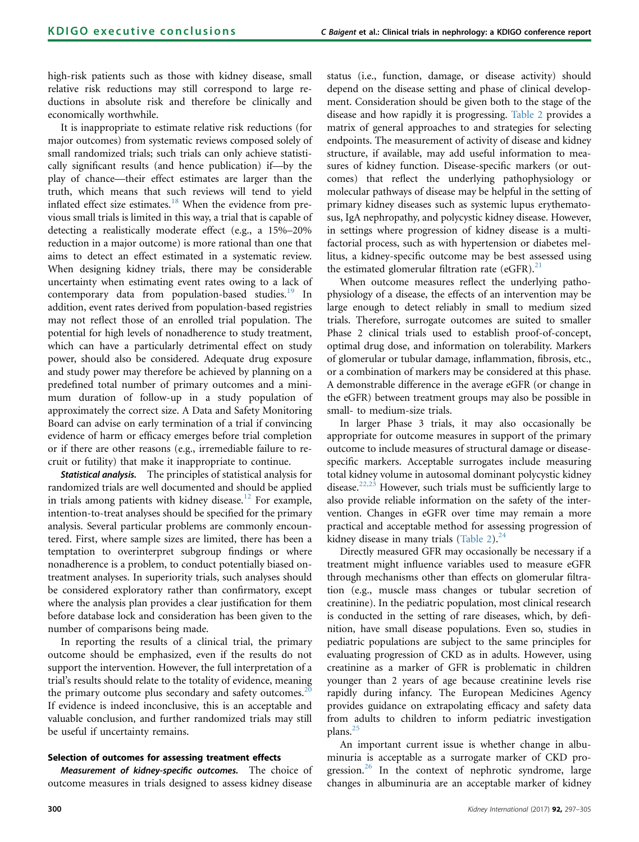high-risk patients such as those with kidney disease, small relative risk reductions may still correspond to large reductions in absolute risk and therefore be clinically and economically worthwhile.

It is inappropriate to estimate relative risk reductions (for major outcomes) from systematic reviews composed solely of small randomized trials; such trials can only achieve statistically significant results (and hence publication) if—by the play of chance—their effect estimates are larger than the truth, which means that such reviews will tend to yield inflated effect size estimates. $18$  When the evidence from previous small trials is limited in this way, a trial that is capable of detecting a realistically moderate effect (e.g., a 15%–20% reduction in a major outcome) is more rational than one that aims to detect an effect estimated in a systematic review. When designing kidney trials, there may be considerable uncertainty when estimating event rates owing to a lack of contemporary data from population-based studies.<sup>[19](#page-7-0)</sup> In addition, event rates derived from population-based registries may not reflect those of an enrolled trial population. The potential for high levels of nonadherence to study treatment, which can have a particularly detrimental effect on study power, should also be considered. Adequate drug exposure and study power may therefore be achieved by planning on a predefined total number of primary outcomes and a minimum duration of follow-up in a study population of approximately the correct size. A Data and Safety Monitoring Board can advise on early termination of a trial if convincing evidence of harm or efficacy emerges before trial completion or if there are other reasons (e.g., irremediable failure to recruit or futility) that make it inappropriate to continue.

Statistical analysis. The principles of statistical analysis for randomized trials are well documented and should be applied in trials among patients with kidney disease.<sup>[12](#page-7-0)</sup> For example, intention-to-treat analyses should be specified for the primary analysis. Several particular problems are commonly encountered. First, where sample sizes are limited, there has been a temptation to overinterpret subgroup findings or where nonadherence is a problem, to conduct potentially biased ontreatment analyses. In superiority trials, such analyses should be considered exploratory rather than confirmatory, except where the analysis plan provides a clear justification for them before database lock and consideration has been given to the number of comparisons being made.

In reporting the results of a clinical trial, the primary outcome should be emphasized, even if the results do not support the intervention. However, the full interpretation of a trial's results should relate to the totality of evidence, meaning the primary outcome plus secondary and safety outcomes.<sup>[20](#page-7-0)</sup> If evidence is indeed inconclusive, this is an acceptable and valuable conclusion, and further randomized trials may still be useful if uncertainty remains.

## Selection of outcomes for assessing treatment effects

Measurement of kidney-specific outcomes. The choice of outcome measures in trials designed to assess kidney disease status (i.e., function, damage, or disease activity) should depend on the disease setting and phase of clinical development. Consideration should be given both to the stage of the disease and how rapidly it is progressing. [Table 2](#page-4-0) provides a matrix of general approaches to and strategies for selecting endpoints. The measurement of activity of disease and kidney structure, if available, may add useful information to measures of kidney function. Disease-specific markers (or outcomes) that reflect the underlying pathophysiology or molecular pathways of disease may be helpful in the setting of primary kidney diseases such as systemic lupus erythematosus, IgA nephropathy, and polycystic kidney disease. However, in settings where progression of kidney disease is a multifactorial process, such as with hypertension or diabetes mellitus, a kidney-specific outcome may be best assessed using the estimated glomerular filtration rate  $(eGFR)^{21}$  $(eGFR)^{21}$  $(eGFR)^{21}$ 

When outcome measures reflect the underlying pathophysiology of a disease, the effects of an intervention may be large enough to detect reliably in small to medium sized trials. Therefore, surrogate outcomes are suited to smaller Phase 2 clinical trials used to establish proof-of-concept, optimal drug dose, and information on tolerability. Markers of glomerular or tubular damage, inflammation, fibrosis, etc., or a combination of markers may be considered at this phase. A demonstrable difference in the average eGFR (or change in the eGFR) between treatment groups may also be possible in small- to medium-size trials.

In larger Phase 3 trials, it may also occasionally be appropriate for outcome measures in support of the primary outcome to include measures of structural damage or diseasespecific markers. Acceptable surrogates include measuring total kidney volume in autosomal dominant polycystic kidney disease.<sup>[22,23](#page-7-0)</sup> However, such trials must be sufficiently large to also provide reliable information on the safety of the intervention. Changes in eGFR over time may remain a more practical and acceptable method for assessing progression of kidney disease in many trials  $(Table 2).^{24}$  $(Table 2).^{24}$  $(Table 2).^{24}$  $(Table 2).^{24}$  $(Table 2).^{24}$ 

Directly measured GFR may occasionally be necessary if a treatment might influence variables used to measure eGFR through mechanisms other than effects on glomerular filtration (e.g., muscle mass changes or tubular secretion of creatinine). In the pediatric population, most clinical research is conducted in the setting of rare diseases, which, by definition, have small disease populations. Even so, studies in pediatric populations are subject to the same principles for evaluating progression of CKD as in adults. However, using creatinine as a marker of GFR is problematic in children younger than 2 years of age because creatinine levels rise rapidly during infancy. The European Medicines Agency provides guidance on extrapolating efficacy and safety data from adults to children to inform pediatric investigation plans.<sup>[25](#page-7-0)</sup>

An important current issue is whether change in albuminuria is acceptable as a surrogate marker of CKD pro-gression.<sup>[26](#page-7-0)</sup> In the context of nephrotic syndrome, large changes in albuminuria are an acceptable marker of kidney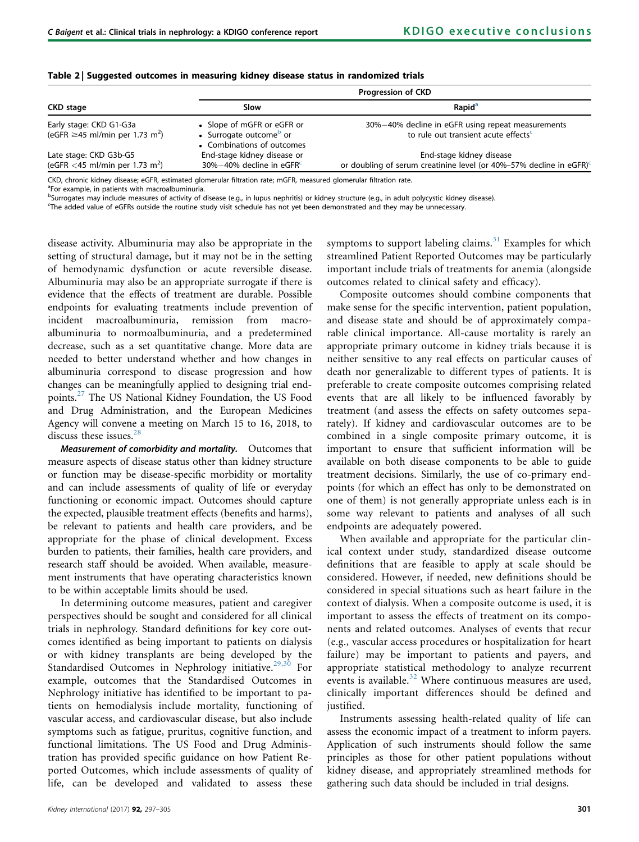|                                                                             | <b>Progression of CKD</b>                                                                       |                                                                                                             |  |
|-----------------------------------------------------------------------------|-------------------------------------------------------------------------------------------------|-------------------------------------------------------------------------------------------------------------|--|
| <b>CKD</b> stage                                                            | Slow                                                                                            | <b>Rapid</b> <sup>a</sup>                                                                                   |  |
| Early stage: CKD G1-G3a<br>(eGFR $\geq$ 45 ml/min per 1.73 m <sup>2</sup> ) | • Slope of mGFR or eGFR or<br>• Surrogate outcome <sup>b</sup> or<br>• Combinations of outcomes | 30%-40% decline in eGFR using repeat measurements<br>to rule out transient acute effects <sup>c</sup>       |  |
| Late stage: CKD G3b-G5<br>(eGFR <45 ml/min per 1.73 m <sup>2</sup> )        | End-stage kidney disease or<br>30%-40% decline in eGFR $c$                                      | End-stage kidney disease<br>or doubling of serum creatinine level (or 40%-57% decline in eGFR) <sup>c</sup> |  |

# <span id="page-4-0"></span>Table 2 | Suggested outcomes in measuring kidney disease status in randomized trials

CKD, chronic kidney disease; eGFR, estimated glomerular filtration rate; mGFR, measured glomerular filtration rate.

<sup>a</sup>For example, in patients with macroalbuminuria.

b<br>Surrogates may include measures of activity of disease (e.g., in lupus nephritis) or kidney structure (e.g., in adult polycystic kidney disease).

c The added value of eGFRs outside the routine study visit schedule has not yet been demonstrated and they may be unnecessary.

disease activity. Albuminuria may also be appropriate in the setting of structural damage, but it may not be in the setting of hemodynamic dysfunction or acute reversible disease. Albuminuria may also be an appropriate surrogate if there is evidence that the effects of treatment are durable. Possible endpoints for evaluating treatments include prevention of incident macroalbuminuria, remission from macroalbuminuria to normoalbuminuria, and a predetermined decrease, such as a set quantitative change. More data are needed to better understand whether and how changes in albuminuria correspond to disease progression and how changes can be meaningfully applied to designing trial endpoints.[27](#page-7-0) The US National Kidney Foundation, the US Food and Drug Administration, and the European Medicines Agency will convene a meeting on March 15 to 16, 2018, to discuss these issues.<sup>28</sup>

Measurement of comorbidity and mortality. Outcomes that measure aspects of disease status other than kidney structure or function may be disease-specific morbidity or mortality and can include assessments of quality of life or everyday functioning or economic impact. Outcomes should capture the expected, plausible treatment effects (benefits and harms), be relevant to patients and health care providers, and be appropriate for the phase of clinical development. Excess burden to patients, their families, health care providers, and research staff should be avoided. When available, measurement instruments that have operating characteristics known to be within acceptable limits should be used.

In determining outcome measures, patient and caregiver perspectives should be sought and considered for all clinical trials in nephrology. Standard definitions for key core outcomes identified as being important to patients on dialysis or with kidney transplants are being developed by the Standardised Outcomes in Nephrology initiative.<sup>[29,30](#page-7-0)</sup> For example, outcomes that the Standardised Outcomes in Nephrology initiative has identified to be important to patients on hemodialysis include mortality, functioning of vascular access, and cardiovascular disease, but also include symptoms such as fatigue, pruritus, cognitive function, and functional limitations. The US Food and Drug Administration has provided specific guidance on how Patient Reported Outcomes, which include assessments of quality of life, can be developed and validated to assess these

symptoms to support labeling claims. $31$  Examples for which streamlined Patient Reported Outcomes may be particularly important include trials of treatments for anemia (alongside outcomes related to clinical safety and efficacy).

Composite outcomes should combine components that make sense for the specific intervention, patient population, and disease state and should be of approximately comparable clinical importance. All-cause mortality is rarely an appropriate primary outcome in kidney trials because it is neither sensitive to any real effects on particular causes of death nor generalizable to different types of patients. It is preferable to create composite outcomes comprising related events that are all likely to be influenced favorably by treatment (and assess the effects on safety outcomes separately). If kidney and cardiovascular outcomes are to be combined in a single composite primary outcome, it is important to ensure that sufficient information will be available on both disease components to be able to guide treatment decisions. Similarly, the use of co-primary endpoints (for which an effect has only to be demonstrated on one of them) is not generally appropriate unless each is in some way relevant to patients and analyses of all such endpoints are adequately powered.

When available and appropriate for the particular clinical context under study, standardized disease outcome definitions that are feasible to apply at scale should be considered. However, if needed, new definitions should be considered in special situations such as heart failure in the context of dialysis. When a composite outcome is used, it is important to assess the effects of treatment on its components and related outcomes. Analyses of events that recur (e.g., vascular access procedures or hospitalization for heart failure) may be important to patients and payers, and appropriate statistical methodology to analyze recurrent events is available. $32$  Where continuous measures are used, clinically important differences should be defined and justified.

Instruments assessing health-related quality of life can assess the economic impact of a treatment to inform payers. Application of such instruments should follow the same principles as those for other patient populations without kidney disease, and appropriately streamlined methods for gathering such data should be included in trial designs.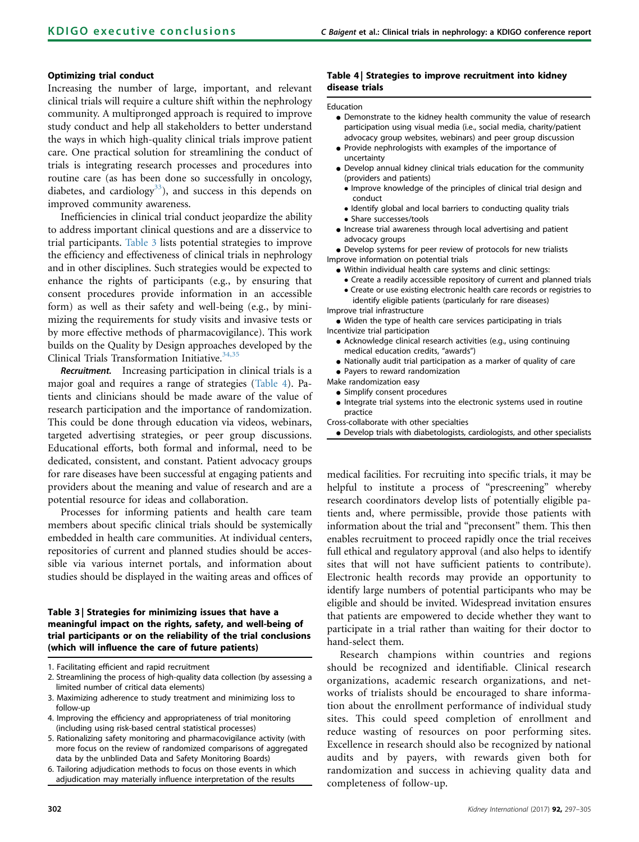# Optimizing trial conduct

Increasing the number of large, important, and relevant clinical trials will require a culture shift within the nephrology community. A multipronged approach is required to improve study conduct and help all stakeholders to better understand the ways in which high-quality clinical trials improve patient care. One practical solution for streamlining the conduct of trials is integrating research processes and procedures into routine care (as has been done so successfully in oncology, diabetes, and cardiology<sup>33</sup>), and success in this depends on improved community awareness.

Inefficiencies in clinical trial conduct jeopardize the ability to address important clinical questions and are a disservice to trial participants. Table 3 lists potential strategies to improve the efficiency and effectiveness of clinical trials in nephrology and in other disciplines. Such strategies would be expected to enhance the rights of participants (e.g., by ensuring that consent procedures provide information in an accessible form) as well as their safety and well-being (e.g., by minimizing the requirements for study visits and invasive tests or by more effective methods of pharmacovigilance). This work builds on the Quality by Design approaches developed by the Clinical Trials Transformation Initiative.<sup>[34,35](#page-7-0)</sup>

Recruitment. Increasing participation in clinical trials is a major goal and requires a range of strategies (Table 4). Patients and clinicians should be made aware of the value of research participation and the importance of randomization. This could be done through education via videos, webinars, targeted advertising strategies, or peer group discussions. Educational efforts, both formal and informal, need to be dedicated, consistent, and constant. Patient advocacy groups for rare diseases have been successful at engaging patients and providers about the meaning and value of research and are a potential resource for ideas and collaboration.

Processes for informing patients and health care team members about specific clinical trials should be systemically embedded in health care communities. At individual centers, repositories of current and planned studies should be accessible via various internet portals, and information about studies should be displayed in the waiting areas and offices of

# Table 3 | Strategies for minimizing issues that have a meaningful impact on the rights, safety, and well-being of trial participants or on the reliability of the trial conclusions (which will influence the care of future patients)

- 1. Facilitating efficient and rapid recruitment
- 2. Streamlining the process of high-quality data collection (by assessing a limited number of critical data elements)
- 3. Maximizing adherence to study treatment and minimizing loss to follow-up
- 4. Improving the efficiency and appropriateness of trial monitoring (including using risk-based central statistical processes)
- 5. Rationalizing safety monitoring and pharmacovigilance activity (with more focus on the review of randomized comparisons of aggregated data by the unblinded Data and Safety Monitoring Boards)
- 6. Tailoring adjudication methods to focus on those events in which adjudication may materially influence interpretation of the results

# Table 4 | Strategies to improve recruitment into kidney disease trials

#### Education

- Demonstrate to the kidney health community the value of research participation using visual media (i.e., social media, charity/patient advocacy group websites, webinars) and peer group discussion
- Provide nephrologists with examples of the importance of uncertainty
- Develop annual kidney clinical trials education for the community (providers and patients)
	- Improve knowledge of the principles of clinical trial design and conduct
	- Identify global and local barriers to conducting quality trials
	- Share successes/tools
- <sup>C</sup> Increase trial awareness through local advertising and patient advocacy groups

• Develop systems for peer review of protocols for new trialists Improve information on potential trials

- $\bullet$  Within individual health care systems and clinic settings:
	- Create a readily accessible repository of current and planned trials
	- Create or use existing electronic health care records or registries to
- identify eligible patients (particularly for rare diseases) Improve trial infrastructure

 $\bullet$  Widen the type of health care services participating in trials Incentivize trial participation

- $\bullet$  Acknowledge clinical research activities (e.g., using continuing medical education credits, "awards")
- Nationally audit trial participation as a marker of quality of care • Payers to reward randomization

Make randomization easy

- Simplify consent procedures
- $\bullet$  Integrate trial systems into the electronic systems used in routine practice
- Cross-collaborate with other specialties

• Develop trials with diabetologists, cardiologists, and other specialists

medical facilities. For recruiting into specific trials, it may be helpful to institute a process of "prescreening" whereby research coordinators develop lists of potentially eligible patients and, where permissible, provide those patients with information about the trial and "preconsent" them. This then enables recruitment to proceed rapidly once the trial receives full ethical and regulatory approval (and also helps to identify sites that will not have sufficient patients to contribute). Electronic health records may provide an opportunity to identify large numbers of potential participants who may be eligible and should be invited. Widespread invitation ensures that patients are empowered to decide whether they want to participate in a trial rather than waiting for their doctor to hand-select them.

Research champions within countries and regions should be recognized and identifiable. Clinical research organizations, academic research organizations, and networks of trialists should be encouraged to share information about the enrollment performance of individual study sites. This could speed completion of enrollment and reduce wasting of resources on poor performing sites. Excellence in research should also be recognized by national audits and by payers, with rewards given both for randomization and success in achieving quality data and completeness of follow-up.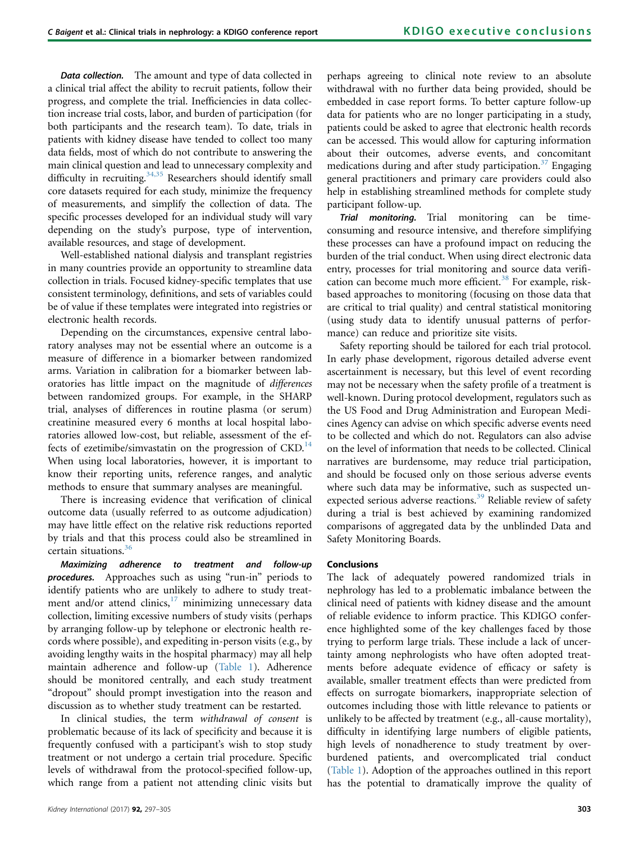Data collection. The amount and type of data collected in a clinical trial affect the ability to recruit patients, follow their progress, and complete the trial. Inefficiencies in data collection increase trial costs, labor, and burden of participation (for both participants and the research team). To date, trials in patients with kidney disease have tended to collect too many data fields, most of which do not contribute to answering the main clinical question and lead to unnecessary complexity and difficulty in recruiting. $34,35$  Researchers should identify small core datasets required for each study, minimize the frequency of measurements, and simplify the collection of data. The specific processes developed for an individual study will vary depending on the study's purpose, type of intervention, available resources, and stage of development.

Well-established national dialysis and transplant registries in many countries provide an opportunity to streamline data collection in trials. Focused kidney-specific templates that use consistent terminology, definitions, and sets of variables could be of value if these templates were integrated into registries or electronic health records.

Depending on the circumstances, expensive central laboratory analyses may not be essential where an outcome is a measure of difference in a biomarker between randomized arms. Variation in calibration for a biomarker between laboratories has little impact on the magnitude of differences between randomized groups. For example, in the SHARP trial, analyses of differences in routine plasma (or serum) creatinine measured every 6 months at local hospital laboratories allowed low-cost, but reliable, assessment of the effects of ezetimibe/simvastatin on the progression of  $CKD$ .<sup>[14](#page-7-0)</sup> When using local laboratories, however, it is important to know their reporting units, reference ranges, and analytic methods to ensure that summary analyses are meaningful.

There is increasing evidence that verification of clinical outcome data (usually referred to as outcome adjudication) may have little effect on the relative risk reductions reported by trials and that this process could also be streamlined in certain situations.<sup>[36](#page-7-0)</sup>

Maximizing adherence to treatment and follow-up procedures. Approaches such as using "run-in" periods to identify patients who are unlikely to adhere to study treatment and/or attend clinics, $17$  minimizing unnecessary data collection, limiting excessive numbers of study visits (perhaps by arranging follow-up by telephone or electronic health records where possible), and expediting in-person visits (e.g., by avoiding lengthy waits in the hospital pharmacy) may all help maintain adherence and follow-up [\(Table 1\)](#page-2-0). Adherence should be monitored centrally, and each study treatment "dropout" should prompt investigation into the reason and discussion as to whether study treatment can be restarted.

In clinical studies, the term withdrawal of consent is problematic because of its lack of specificity and because it is frequently confused with a participant's wish to stop study treatment or not undergo a certain trial procedure. Specific levels of withdrawal from the protocol-specified follow-up, which range from a patient not attending clinic visits but perhaps agreeing to clinical note review to an absolute withdrawal with no further data being provided, should be embedded in case report forms. To better capture follow-up data for patients who are no longer participating in a study, patients could be asked to agree that electronic health records can be accessed. This would allow for capturing information about their outcomes, adverse events, and concomitant medications during and after study participation.<sup>[37](#page-7-0)</sup> Engaging general practitioners and primary care providers could also help in establishing streamlined methods for complete study participant follow-up.

Trial monitoring. Trial monitoring can be timeconsuming and resource intensive, and therefore simplifying these processes can have a profound impact on reducing the burden of the trial conduct. When using direct electronic data entry, processes for trial monitoring and source data verifi-cation can become much more efficient.<sup>[38](#page-7-0)</sup> For example, riskbased approaches to monitoring (focusing on those data that are critical to trial quality) and central statistical monitoring (using study data to identify unusual patterns of performance) can reduce and prioritize site visits.

Safety reporting should be tailored for each trial protocol. In early phase development, rigorous detailed adverse event ascertainment is necessary, but this level of event recording may not be necessary when the safety profile of a treatment is well-known. During protocol development, regulators such as the US Food and Drug Administration and European Medicines Agency can advise on which specific adverse events need to be collected and which do not. Regulators can also advise on the level of information that needs to be collected. Clinical narratives are burdensome, may reduce trial participation, and should be focused only on those serious adverse events where such data may be informative, such as suspected un-expected serious adverse reactions.<sup>[39](#page-7-0)</sup> Reliable review of safety during a trial is best achieved by examining randomized comparisons of aggregated data by the unblinded Data and Safety Monitoring Boards.

#### Conclusions

The lack of adequately powered randomized trials in nephrology has led to a problematic imbalance between the clinical need of patients with kidney disease and the amount of reliable evidence to inform practice. This KDIGO conference highlighted some of the key challenges faced by those trying to perform large trials. These include a lack of uncertainty among nephrologists who have often adopted treatments before adequate evidence of efficacy or safety is available, smaller treatment effects than were predicted from effects on surrogate biomarkers, inappropriate selection of outcomes including those with little relevance to patients or unlikely to be affected by treatment (e.g., all-cause mortality), difficulty in identifying large numbers of eligible patients, high levels of nonadherence to study treatment by overburdened patients, and overcomplicated trial conduct ([Table 1\)](#page-2-0). Adoption of the approaches outlined in this report has the potential to dramatically improve the quality of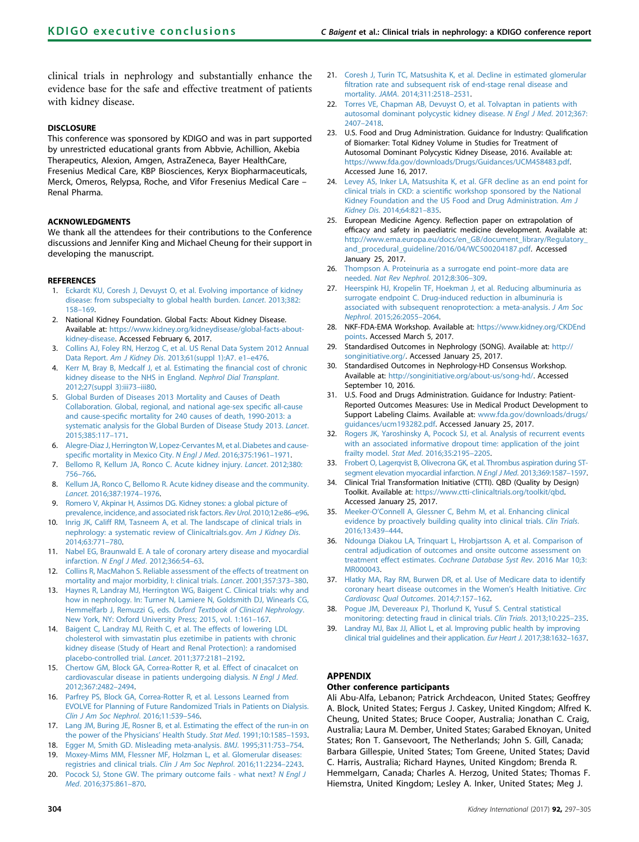<span id="page-7-0"></span>clinical trials in nephrology and substantially enhance the evidence base for the safe and effective treatment of patients with kidney disease.

#### **DISCLOSURE**

This conference was sponsored by KDIGO and was in part supported by unrestricted educational grants from Abbvie, Achillion, Akebia Therapeutics, Alexion, Amgen, AstraZeneca, Bayer HealthCare, Fresenius Medical Care, KBP Biosciences, Keryx Biopharmaceuticals, Merck, Omeros, Relypsa, Roche, and Vifor Fresenius Medical Care – Renal Pharma.

## ACKNOWLEDGMENTS

We thank all the attendees for their contributions to the Conference discussions and Jennifer King and Michael Cheung for their support in developing the manuscript.

#### REFERENCES

- 1. [Eckardt KU, Coresh J, Devuyst O, et al. Evolving importance of kidney](http://refhub.elsevier.com/S0085-2538(17)30311-3/sref1) [disease: from subspecialty to global health burden.](http://refhub.elsevier.com/S0085-2538(17)30311-3/sref1) Lancet. 2013;382: 158–[169.](http://refhub.elsevier.com/S0085-2538(17)30311-3/sref1)
- 2. National Kidney Foundation. Global Facts: About Kidney Disease. Available at: [https://www.kidney.org/kidneydisease/global-facts-about](https://www.kidney.org/kidneydisease/global-facts-about-kidney-disease)[kidney-disease.](https://www.kidney.org/kidneydisease/global-facts-about-kidney-disease) Accessed February 6, 2017.
- 3. [Collins AJ, Foley RN, Herzog C, et al. US Renal Data System 2012 Annual](http://refhub.elsevier.com/S0085-2538(17)30311-3/sref3) Data Report. Am J Kidney Dis[. 2013;61\(suppl 1\):A7. e1](http://refhub.elsevier.com/S0085-2538(17)30311-3/sref3)-e476.
- 4. [Kerr M, Bray B, Medcalf J, et al. Estimating the](http://refhub.elsevier.com/S0085-2538(17)30311-3/sref4) financial cost of chronic [kidney disease to the NHS in England.](http://refhub.elsevier.com/S0085-2538(17)30311-3/sref4) Nephrol Dial Transplant. [2012;27\(suppl 3\):iii73](http://refhub.elsevier.com/S0085-2538(17)30311-3/sref4)–iii80.
- 5. [Global Burden of Diseases 2013 Mortality and Causes of Death](http://refhub.elsevier.com/S0085-2538(17)30311-3/sref5) [Collaboration. Global, regional, and national age-sex speci](http://refhub.elsevier.com/S0085-2538(17)30311-3/sref5)fic all-cause and cause-specifi[c mortality for 240 causes of death, 1990-2013: a](http://refhub.elsevier.com/S0085-2538(17)30311-3/sref5) [systematic analysis for the Global Burden of Disease Study 2013.](http://refhub.elsevier.com/S0085-2538(17)30311-3/sref5) Lancet. [2015;385:117](http://refhub.elsevier.com/S0085-2538(17)30311-3/sref5)–171.
- 6. [Alegre-Diaz J, Herrington W, Lopez-Cervantes M, et al. Diabetes and cause](http://refhub.elsevier.com/S0085-2538(17)30311-3/sref6)specifi[c mortality in Mexico City.](http://refhub.elsevier.com/S0085-2538(17)30311-3/sref6) N Engl J Med. 2016;375:1961–1971.
- 7. [Bellomo R, Kellum JA, Ronco C. Acute kidney injury.](http://refhub.elsevier.com/S0085-2538(17)30311-3/sref7) Lancet. 2012;380: 756–[766.](http://refhub.elsevier.com/S0085-2538(17)30311-3/sref7)
- 8. [Kellum JA, Ronco C, Bellomo R. Acute kidney disease and the community.](http://refhub.elsevier.com/S0085-2538(17)30311-3/sref8) Lancet[. 2016;387:1974](http://refhub.elsevier.com/S0085-2538(17)30311-3/sref8)–1976.
- 9. [Romero V, Akpinar H, Assimos DG. Kidney stones: a global picture of](http://refhub.elsevier.com/S0085-2538(17)30311-3/sref9) [prevalence, incidence, and associated risk factors.](http://refhub.elsevier.com/S0085-2538(17)30311-3/sref9) Rev Urol. 2010;12:e86–e96.
- [Inrig JK, Califf RM, Tasneem A, et al. The landscape of clinical trials in](http://refhub.elsevier.com/S0085-2538(17)30311-3/sref10) [nephrology: a systematic review of Clinicaltrials.gov.](http://refhub.elsevier.com/S0085-2538(17)30311-3/sref10) Am J Kidney Dis. [2014;63:771](http://refhub.elsevier.com/S0085-2538(17)30311-3/sref10)–780.
- 11. [Nabel EG, Braunwald E. A tale of coronary artery disease and myocardial](http://refhub.elsevier.com/S0085-2538(17)30311-3/sref11) infarction. N Engl J Med[. 2012;366:54](http://refhub.elsevier.com/S0085-2538(17)30311-3/sref11)–63.
- 12. [Collins R, MacMahon S. Reliable assessment of the effects of treatment on](http://refhub.elsevier.com/S0085-2538(17)30311-3/sref12) [mortality and major morbidity, I: clinical trials.](http://refhub.elsevier.com/S0085-2538(17)30311-3/sref12) Lancet. 2001;357:373–380.
- 13. [Haynes R, Landray MJ, Herrington WG, Baigent C. Clinical trials: why and](http://refhub.elsevier.com/S0085-2538(17)30311-3/sref13) [how in nephrology. In: Turner N, Lamiere N, Goldsmith DJ, Winearls CG,](http://refhub.elsevier.com/S0085-2538(17)30311-3/sref13) Hemmelfarb J, Remuzzi G, eds. [Oxford Textbook of Clinical Nephrology](http://refhub.elsevier.com/S0085-2538(17)30311-3/sref13). [New York, NY: Oxford University Press; 2015, vol. 1:161](http://refhub.elsevier.com/S0085-2538(17)30311-3/sref13)–167.
- 14. [Baigent C, Landray MJ, Reith C, et al. The effects of lowering LDL](http://refhub.elsevier.com/S0085-2538(17)30311-3/sref14) [cholesterol with simvastatin plus ezetimibe in patients with chronic](http://refhub.elsevier.com/S0085-2538(17)30311-3/sref14) [kidney disease \(Study of Heart and Renal Protection\): a randomised](http://refhub.elsevier.com/S0085-2538(17)30311-3/sref14) [placebo-controlled trial.](http://refhub.elsevier.com/S0085-2538(17)30311-3/sref14) Lancet. 2011;377:2181–2192.
- 15. [Chertow GM, Block GA, Correa-Rotter R, et al. Effect of cinacalcet on](http://refhub.elsevier.com/S0085-2538(17)30311-3/sref15) [cardiovascular disease in patients undergoing dialysis.](http://refhub.elsevier.com/S0085-2538(17)30311-3/sref15) N Engl J Med. [2012;367:2482](http://refhub.elsevier.com/S0085-2538(17)30311-3/sref15)–2494.
- 16. [Parfrey PS, Block GA, Correa-Rotter R, et al. Lessons Learned from](http://refhub.elsevier.com/S0085-2538(17)30311-3/sref16) [EVOLVE for Planning of Future Randomized Trials in Patients on Dialysis.](http://refhub.elsevier.com/S0085-2538(17)30311-3/sref16) [Clin J Am Soc Nephrol](http://refhub.elsevier.com/S0085-2538(17)30311-3/sref16). 2016;11:539–546.
- 17. [Lang JM, Buring JE, Rosner B, et al. Estimating the effect of the run-in on](http://refhub.elsevier.com/S0085-2538(17)30311-3/sref17) [the power of the Physicians](http://refhub.elsevier.com/S0085-2538(17)30311-3/sref17)' Health Study. Stat Med. 1991;10:1585–1593.
- 18. [Egger M, Smith GD. Misleading meta-analysis.](http://refhub.elsevier.com/S0085-2538(17)30311-3/sref18) BMJ. 1995;311:753–754.
- 19. [Moxey-Mims MM, Flessner MF, Holzman L, et al. Glomerular diseases:](http://refhub.elsevier.com/S0085-2538(17)30311-3/sref19) [registries and clinical trials.](http://refhub.elsevier.com/S0085-2538(17)30311-3/sref19) Clin J Am Soc Nephrol. 2016;11:2234–2243.
- 20. [Pocock SJ, Stone GW. The primary outcome fails what next?](http://refhub.elsevier.com/S0085-2538(17)30311-3/sref20) N Engl J Med[. 2016;375:861](http://refhub.elsevier.com/S0085-2538(17)30311-3/sref20)–870.
- 21. [Coresh J, Turin TC, Matsushita K, et al. Decline in estimated glomerular](http://refhub.elsevier.com/S0085-2538(17)30311-3/sref21) fi[ltration rate and subsequent risk of end-stage renal disease and](http://refhub.elsevier.com/S0085-2538(17)30311-3/sref21) mortality. JAMA[. 2014;311:2518](http://refhub.elsevier.com/S0085-2538(17)30311-3/sref21)–2531.
- 22. [Torres VE, Chapman AB, Devuyst O, et al. Tolvaptan in patients with](http://refhub.elsevier.com/S0085-2538(17)30311-3/sref22) [autosomal dominant polycystic kidney disease.](http://refhub.elsevier.com/S0085-2538(17)30311-3/sref22) N Engl J Med. 2012;367: 2407–[2418.](http://refhub.elsevier.com/S0085-2538(17)30311-3/sref22)
- 23. U.S. Food and Drug Administration. Guidance for Industry: Qualification of Biomarker: Total Kidney Volume in Studies for Treatment of Autosomal Dominant Polycystic Kidney Disease, 2016. Available at: <https://www.fda.gov/downloads/Drugs/Guidances/UCM458483.pdf>. Accessed June 16, 2017.
- 24. [Levey AS, Inker LA, Matsushita K, et al. GFR decline as an end point for](http://refhub.elsevier.com/S0085-2538(17)30311-3/sref24) clinical trials in CKD: a scientifi[c workshop sponsored by the National](http://refhub.elsevier.com/S0085-2538(17)30311-3/sref24) [Kidney Foundation and the US Food and Drug Administration.](http://refhub.elsevier.com/S0085-2538(17)30311-3/sref24) Am J Kidney Dis[. 2014;64:821](http://refhub.elsevier.com/S0085-2538(17)30311-3/sref24)–835.
- 25. European Medicine Agency. Reflection paper on extrapolation of efficacy and safety in paediatric medicine development. Available at: [http://www.ema.europa.eu/docs/en\\_GB/document\\_library/Regulatory\\_](http://www.ema.europa.eu/docs/en_GB/document_library/Regulatory_and_procedural_guideline/2016/04/WC500204187.pdf) [and\\_procedural\\_guideline/2016/04/WC500204187.pdf](http://www.ema.europa.eu/docs/en_GB/document_library/Regulatory_and_procedural_guideline/2016/04/WC500204187.pdf). Accessed January 25, 2017.
- 26. [Thompson A. Proteinuria as a surrogate end point](http://refhub.elsevier.com/S0085-2538(17)30311-3/sref26)–more data are needed. [Nat Rev Nephrol](http://refhub.elsevier.com/S0085-2538(17)30311-3/sref26). 2012;8:306–309.
- 27. [Heerspink HJ, Kropelin TF, Hoekman J, et al. Reducing albuminuria as](http://refhub.elsevier.com/S0085-2538(17)30311-3/sref27) [surrogate endpoint C. Drug-induced reduction in albuminuria is](http://refhub.elsevier.com/S0085-2538(17)30311-3/sref27) [associated with subsequent renoprotection: a meta-analysis.](http://refhub.elsevier.com/S0085-2538(17)30311-3/sref27) J Am Soc Nephrol[. 2015;26:2055](http://refhub.elsevier.com/S0085-2538(17)30311-3/sref27)–2064.
- 28. NKF-FDA-EMA Workshop. Available at: [https://www.kidney.org/CKDEnd](https://www.kidney.org/CKDEndpoints) [points.](https://www.kidney.org/CKDEndpoints) Accessed March 5, 2017.
- 29. Standardised Outcomes in Nephrology (SONG). Available at: [http://](http://songinitiative.org/) [songinitiative.org/.](http://songinitiative.org/) Accessed January 25, 2017.
- 30. Standardised Outcomes in Nephrology-HD Consensus Workshop. Available at: [http://songinitiative.org/about-us/song-hd/.](http://songinitiative.org/about-us/song-hd/) Accessed September 10, 2016.
- 31. U.S. Food and Drugs Administration. Guidance for Industry: Patient-Reported Outcomes Measures: Use in Medical Product Development to Support Labeling Claims. Available at: [www.fda.gov/downloads/drugs/](http://www.fda.gov/downloads/drugs/guidances/ucm193282.pdf) [guidances/ucm193282.pdf.](http://www.fda.gov/downloads/drugs/guidances/ucm193282.pdf) Accessed January 25, 2017.
- 32. [Rogers JK, Yaroshinsky A, Pocock SJ, et al. Analysis of recurrent events](http://refhub.elsevier.com/S0085-2538(17)30311-3/sref32) [with an associated informative dropout time: application of the joint](http://refhub.elsevier.com/S0085-2538(17)30311-3/sref32) frailty model. Stat Med[. 2016;35:2195](http://refhub.elsevier.com/S0085-2538(17)30311-3/sref32)–2205.
- 33. [Frobert O, Lagerqvist B, Olivecrona GK, et al. Thrombus aspiration during ST](http://refhub.elsevier.com/S0085-2538(17)30311-3/sref33)[segment elevation myocardial infarction.](http://refhub.elsevier.com/S0085-2538(17)30311-3/sref33) N Engl J Med. 2013;369:1587–1597.
- 34. Clinical Trial Transformation Initiative (CTTI). QBD (Quality by Design) Toolkit. Available at: <https://www.ctti-clinicaltrials.org/toolkit/qbd>. Accessed January 25, 2017.
- 35. Meeker-O'[Connell A, Glessner C, Behm M, et al. Enhancing clinical](http://refhub.elsevier.com/S0085-2538(17)30311-3/sref35) [evidence by proactively building quality into clinical trials.](http://refhub.elsevier.com/S0085-2538(17)30311-3/sref35) Clin Trials. [2016;13:439](http://refhub.elsevier.com/S0085-2538(17)30311-3/sref35)–444.
- 36. [Ndounga Diakou LA, Trinquart L, Hrobjartsson A, et al. Comparison of](http://refhub.elsevier.com/S0085-2538(17)30311-3/sref36) [central adjudication of outcomes and onsite outcome assessment on](http://refhub.elsevier.com/S0085-2538(17)30311-3/sref36) treatment effect estimates. [Cochrane Database Syst Rev](http://refhub.elsevier.com/S0085-2538(17)30311-3/sref36). 2016 Mar 10;3: [MR000043](http://refhub.elsevier.com/S0085-2538(17)30311-3/sref36).
- 37. [Hlatky MA, Ray RM, Burwen DR, et al. Use of Medicare data to identify](http://refhub.elsevier.com/S0085-2538(17)30311-3/sref37) [coronary heart disease outcomes in the Women](http://refhub.elsevier.com/S0085-2538(17)30311-3/sref37)'s Health Initiative. Circ [Cardiovasc Qual Outcomes](http://refhub.elsevier.com/S0085-2538(17)30311-3/sref37). 2014;7:157–162.
- 38. [Pogue JM, Devereaux PJ, Thorlund K, Yusuf S. Central statistical](http://refhub.elsevier.com/S0085-2538(17)30311-3/sref38) [monitoring: detecting fraud in clinical trials.](http://refhub.elsevier.com/S0085-2538(17)30311-3/sref38) Clin Trials. 2013;10:225–235.
- 39. [Landray MJ, Bax JJ, Alliot L, et al. Improving public health by improving](http://refhub.elsevier.com/S0085-2538(17)30311-3/sref39) [clinical trial guidelines and their application.](http://refhub.elsevier.com/S0085-2538(17)30311-3/sref39) Eur Heart J. 2017;38:1632–1637.

## APPENDIX

#### Other conference participants

Ali Abu-Alfa, Lebanon; Patrick Archdeacon, United States; Geoffrey A. Block, United States; Fergus J. Caskey, United Kingdom; Alfred K. Cheung, United States; Bruce Cooper, Australia; Jonathan C. Craig, Australia; Laura M. Dember, United States; Garabed Eknoyan, United States; Ron T. Gansevoort, The Netherlands; John S. Gill, Canada; Barbara Gillespie, United States; Tom Greene, United States; David C. Harris, Australia; Richard Haynes, United Kingdom; Brenda R. Hemmelgarn, Canada; Charles A. Herzog, United States; Thomas F. Hiemstra, United Kingdom; Lesley A. Inker, United States; Meg J.